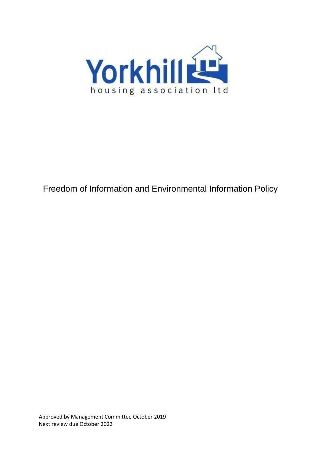

# Freedom of Information and Environmental Information Policy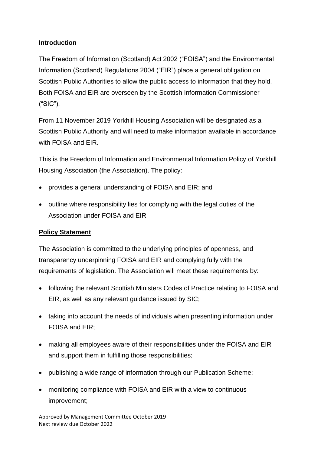## **Introduction**

The Freedom of Information (Scotland) Act 2002 ("FOISA") and the Environmental Information (Scotland) Regulations 2004 ("EIR") place a general obligation on Scottish Public Authorities to allow the public access to information that they hold. Both FOISA and EIR are overseen by the Scottish Information Commissioner ("SIC").

From 11 November 2019 Yorkhill Housing Association will be designated as a Scottish Public Authority and will need to make information available in accordance with FOISA and EIR.

This is the Freedom of Information and Environmental Information Policy of Yorkhill Housing Association (the Association). The policy:

- provides a general understanding of FOISA and EIR; and
- outline where responsibility lies for complying with the legal duties of the Association under FOISA and EIR

## **Policy Statement**

The Association is committed to the underlying principles of openness, and transparency underpinning FOISA and EIR and complying fully with the requirements of legislation. The Association will meet these requirements by:

- following the relevant Scottish Ministers Codes of Practice relating to FOISA and EIR, as well as any relevant guidance issued by SIC;
- taking into account the needs of individuals when presenting information under FOISA and EIR;
- making all employees aware of their responsibilities under the FOISA and EIR and support them in fulfilling those responsibilities;
- publishing a wide range of information through our Publication Scheme;
- monitoring compliance with FOISA and EIR with a view to continuous improvement;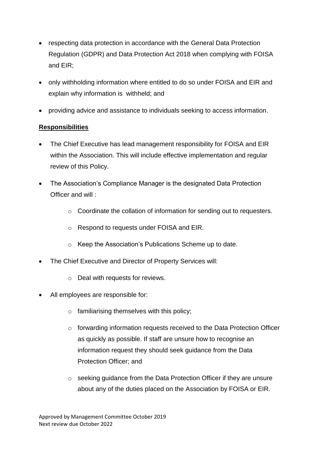- respecting data protection in accordance with the General Data Protection Regulation (GDPR) and Data Protection Act 2018 when complying with FOISA and EIR;
- only withholding information where entitled to do so under FOISA and EIR and explain why information is withheld; and
- providing advice and assistance to individuals seeking to access information.

## **Responsibilities**

- The Chief Executive has lead management responsibility for FOISA and EIR within the Association. This will include effective implementation and regular review of this Policy.
- The Association's Compliance Manager is the designated Data Protection Officer and will :
	- o Coordinate the collation of information for sending out to requesters.
	- o Respond to requests under FOISA and EIR.
	- o Keep the Association's Publications Scheme up to date.
- The Chief Executive and Director of Property Services will:
	- o Deal with requests for reviews.
- All employees are responsible for:
	- $\circ$  familiarising themselves with this policy;
	- $\circ$  forwarding information requests received to the Data Protection Officer as quickly as possible. If staff are unsure how to recognise an information request they should seek guidance from the Data Protection Officer; and
	- o seeking guidance from the Data Protection Officer if they are unsure about any of the duties placed on the Association by FOISA or EIR.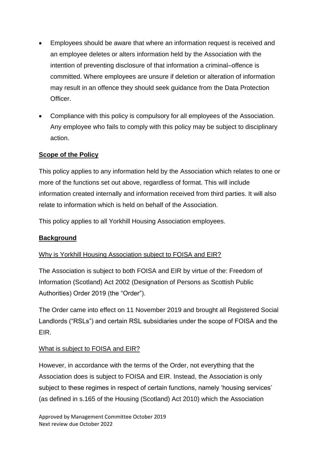- Employees should be aware that where an information request is received and an employee deletes or alters information held by the Association with the intention of preventing disclosure of that information a criminal–offence is committed. Where employees are unsure if deletion or alteration of information may result in an offence they should seek guidance from the Data Protection Officer.
- Compliance with this policy is compulsory for all employees of the Association. Any employee who fails to comply with this policy may be subject to disciplinary action.

## **Scope of the Policy**

This policy applies to any information held by the Association which relates to one or more of the functions set out above, regardless of format. This will include information created internally and information received from third parties. It will also relate to information which is held on behalf of the Association.

This policy applies to all Yorkhill Housing Association employees.

### **Background**

### Why is Yorkhill Housing Association subject to FOISA and EIR?

The Association is subject to both FOISA and EIR by virtue of the: Freedom of Information (Scotland) Act 2002 (Designation of Persons as Scottish Public Authorities) Order 2019 (the "Order").

The Order came into effect on 11 November 2019 and brought all Registered Social Landlords ("RSLs") and certain RSL subsidiaries under the scope of FOISA and the EIR.

### What is subject to FOISA and EIR?

However, in accordance with the terms of the Order, not everything that the Association does is subject to FOISA and EIR. Instead, the Association is only subject to these regimes in respect of certain functions, namely 'housing services' (as defined in s.165 of the Housing (Scotland) Act 2010) which the Association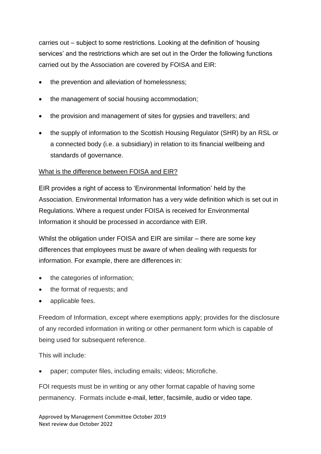carries out – subject to some restrictions. Looking at the definition of 'housing services' and the restrictions which are set out in the Order the following functions carried out by the Association are covered by FOISA and EIR:

- the prevention and alleviation of homelessness;
- the management of social housing accommodation;
- the provision and management of sites for gypsies and travellers; and
- the supply of information to the Scottish Housing Regulator (SHR) by an RSL or a connected body (i.e. a subsidiary) in relation to its financial wellbeing and standards of governance.

### What is the difference between FOISA and EIR?

EIR provides a right of access to 'Environmental Information' held by the Association. Environmental Information has a very wide definition which is set out in Regulations. Where a request under FOISA is received for Environmental Information it should be processed in accordance with EIR.

Whilst the obligation under FOISA and EIR are similar – there are some key differences that employees must be aware of when dealing with requests for information. For example, there are differences in:

- the categories of information;
- the format of requests; and
- applicable fees.

Freedom of Information, except where exemptions apply; provides for the disclosure of any recorded information in writing or other permanent form which is capable of being used for subsequent reference.

This will include:

paper; computer files, including emails; videos; Microfiche.

FOI requests must be in writing or any other format capable of having some permanency. Formats include e-mail, letter, facsimile, audio or video tape.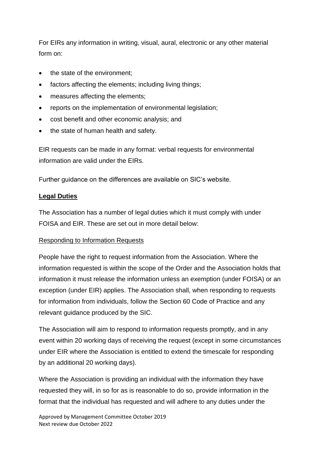For EIRs any information in writing, visual, aural, electronic or any other material form on:

- the state of the environment;
- factors affecting the elements; including living things;
- measures affecting the elements;
- reports on the implementation of environmental legislation;
- cost benefit and other economic analysis; and
- the state of human health and safety.

EIR requests can be made in any format: verbal requests for environmental information are valid under the EIRs.

Further guidance on the differences are available on SIC's website.

### **Legal Duties**

The Association has a number of legal duties which it must comply with under FOISA and EIR. These are set out in more detail below:

### Responding to Information Requests

People have the right to request information from the Association. Where the information requested is within the scope of the Order and the Association holds that information it must release the information unless an exemption (under FOISA) or an exception (under EIR) applies. The Association shall, when responding to requests for information from individuals, follow the Section 60 Code of Practice and any relevant guidance produced by the SIC.

The Association will aim to respond to information requests promptly, and in any event within 20 working days of receiving the request (except in some circumstances under EIR where the Association is entitled to extend the timescale for responding by an additional 20 working days).

Where the Association is providing an individual with the information they have requested they will, in so for as is reasonable to do so, provide information in the format that the individual has requested and will adhere to any duties under the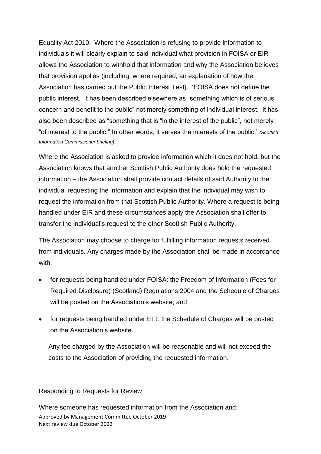Equality Act 2010. Where the Association is refusing to provide information to individuals it will clearly explain to said individual what provision in FOISA or EIR allows the Association to withhold that information and why the Association believes that provision applies (including, where required, an explanation of how the Association has carried out the Public Interest Test). 'FOISA does not define the public interest. It has been described elsewhere as "something which is of serious concern and benefit to the public" not merely something of individual interest. It has also been described as "something that is "in the interest of the public", not merely "of interest to the public." In other words, it serves the interests of the public.' *(Scottish Information Commissioner briefing).*

Where the Association is asked to provide information which it does not hold, but the Association knows that another Scottish Public Authority does hold the requested information – the Association shall provide contact details of said Authority to the individual requesting the information and explain that the individual may wish to request the information from that Scottish Public Authority. Where a request is being handled under EIR and these circumstances apply the Association shall offer to transfer the individual's request to the other Scottish Public Authority.

The Association may choose to charge for fulfilling information requests received from individuals. Any charges made by the Association shall be made in accordance with:

- for requests being handled under FOISA: the Freedom of Information (Fees for Required Disclosure) (Scotland) Regulations 2004 and the Schedule of Charges will be posted on the Association's website; and
- for requests being handled under EIR: the Schedule of Charges will be posted on the Association's website.

Any fee charged by the Association will be reasonable and will not exceed the costs to the Association of providing the requested information.

#### Responding to Requests for Review

Approved by Management Committee October 2019 Next review due October 2022 Where someone has requested information from the Association and: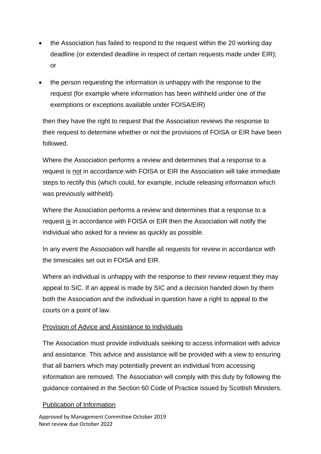- the Association has failed to respond to the request within the 20 working day deadline (or extended deadline in respect of certain requests made under EIR); or
- the person requesting the information is unhappy with the response to the request (for example where information has been withheld under one of the exemptions or exceptions available under FOISA/EIR)

then they have the right to request that the Association reviews the response to their request to determine whether or not the provisions of FOISA or EIR have been followed.

Where the Association performs a review and determines that a response to a request is not in accordance with FOISA or EIR the Association will take immediate steps to rectify this (which could, for example, include releasing information which was previously withheld).

Where the Association performs a review and determines that a response to a request is in accordance with FOISA or EIR then the Association will notify the individual who asked for a review as quickly as possible.

In any event the Association will handle all requests for review in accordance with the timescales set out in FOISA and EIR.

Where an individual is unhappy with the response to their review request they may appeal to SIC. If an appeal is made by SIC and a decision handed down by them both the Association and the individual in question have a right to appeal to the courts on a point of law.

### Provision of Advice and Assistance to Individuals

The Association must provide individuals seeking to access information with advice and assistance. This advice and assistance will be provided with a view to ensuring that all barriers which may potentially prevent an individual from accessing information are removed. The Association will comply with this duty by following the guidance contained in the Section 60 Code of Practice issued by Scottish Ministers.

### Publication of Information